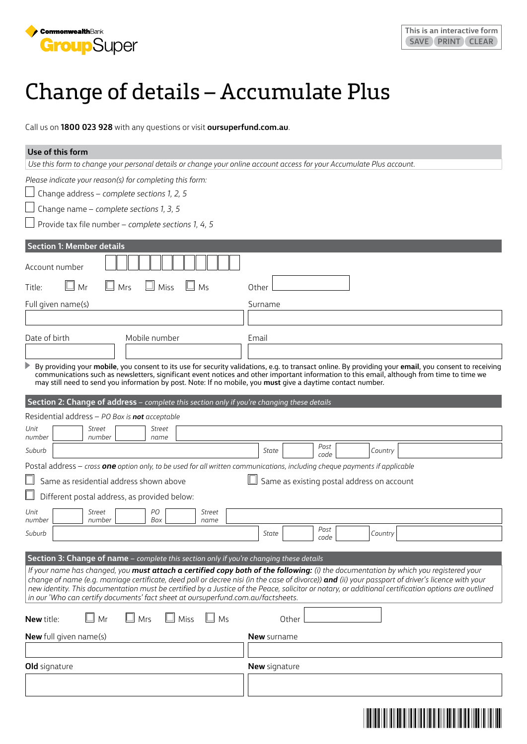

## Change of details – Accumulate Plus

Call us on **1800 023 928** with any questions or visit **[oursuperfund.com.au](https://oursuperfund.com.au/pds)**.

| Use of this form                                                                                                                                                                                                                                                                                                                                                                                                                                                                                                                                                                                                                 |                                                                                                                                                                                    |  |  |  |
|----------------------------------------------------------------------------------------------------------------------------------------------------------------------------------------------------------------------------------------------------------------------------------------------------------------------------------------------------------------------------------------------------------------------------------------------------------------------------------------------------------------------------------------------------------------------------------------------------------------------------------|------------------------------------------------------------------------------------------------------------------------------------------------------------------------------------|--|--|--|
| Use this form to change your personal details or change your online account access for your Accumulate Plus account.                                                                                                                                                                                                                                                                                                                                                                                                                                                                                                             |                                                                                                                                                                                    |  |  |  |
| Please indicate your reason(s) for completing this form:                                                                                                                                                                                                                                                                                                                                                                                                                                                                                                                                                                         |                                                                                                                                                                                    |  |  |  |
| Change address - complete sections 1, 2, 5                                                                                                                                                                                                                                                                                                                                                                                                                                                                                                                                                                                       |                                                                                                                                                                                    |  |  |  |
| Change name - complete sections 1, 3, 5                                                                                                                                                                                                                                                                                                                                                                                                                                                                                                                                                                                          |                                                                                                                                                                                    |  |  |  |
| Provide tax file number - complete sections 1, 4, 5                                                                                                                                                                                                                                                                                                                                                                                                                                                                                                                                                                              |                                                                                                                                                                                    |  |  |  |
| <b>Section 1: Member details</b><br>Account number<br>Mr<br>ш<br>Щ<br>Mrs<br>Miss<br>Ms<br>Title:<br>Full given name(s)<br>Date of birth<br>Mobile number                                                                                                                                                                                                                                                                                                                                                                                                                                                                        | Other<br>Surname<br>Email<br>By providing your mobile, you consent to its use for security validations, e.g. to transact online. By providing your email, you consent to receiving |  |  |  |
| may still need to send you information by post. Note: If no mobile, you must give a daytime contact number.                                                                                                                                                                                                                                                                                                                                                                                                                                                                                                                      | communications such as newsletters, significant event notices and other important information to this email, although from time to time we                                         |  |  |  |
| Section 2: Change of address - complete this section only if you're changing these details                                                                                                                                                                                                                                                                                                                                                                                                                                                                                                                                       |                                                                                                                                                                                    |  |  |  |
| Residential address - PO Box is not acceptable                                                                                                                                                                                                                                                                                                                                                                                                                                                                                                                                                                                   |                                                                                                                                                                                    |  |  |  |
| Unit<br>Street<br>Street<br>number<br>number<br>name                                                                                                                                                                                                                                                                                                                                                                                                                                                                                                                                                                             |                                                                                                                                                                                    |  |  |  |
| Suburb                                                                                                                                                                                                                                                                                                                                                                                                                                                                                                                                                                                                                           | Post<br>State<br>Country<br>code                                                                                                                                                   |  |  |  |
| Postal address - cross one option only, to be used for all written communications, including cheque payments if applicable                                                                                                                                                                                                                                                                                                                                                                                                                                                                                                       |                                                                                                                                                                                    |  |  |  |
| Same as residential address shown above                                                                                                                                                                                                                                                                                                                                                                                                                                                                                                                                                                                          | Same as existing postal address on account                                                                                                                                         |  |  |  |
| Different postal address, as provided below:                                                                                                                                                                                                                                                                                                                                                                                                                                                                                                                                                                                     |                                                                                                                                                                                    |  |  |  |
| PО<br>Unit<br>Street<br>Street                                                                                                                                                                                                                                                                                                                                                                                                                                                                                                                                                                                                   |                                                                                                                                                                                    |  |  |  |
| number<br>Box<br>number<br>name                                                                                                                                                                                                                                                                                                                                                                                                                                                                                                                                                                                                  | Post                                                                                                                                                                               |  |  |  |
| Suburb                                                                                                                                                                                                                                                                                                                                                                                                                                                                                                                                                                                                                           | State<br>Country<br>code                                                                                                                                                           |  |  |  |
| Section 3: Change of name - complete this section only if you're changing these details<br>If your name has changed, you must attach a certified copy both of the following: (i) the documentation by which you registered your<br>change of name (e.g. marriage certificate, deed poll or decree nisi (in the case of divorce)) and (ii) your passport of driver's licence with your<br>new identity. This documentation must be certified by a Justice of the Peace, solicitor or notary, or additional certification options are outlined<br>in our 'Who can certify documents' fact sheet at oursuperfund.com.au/factsheets. |                                                                                                                                                                                    |  |  |  |
| $\Box$ Mrs $\Box$ Miss $\Box$ Ms<br>$\Box$ Mr<br><b>New title:</b>                                                                                                                                                                                                                                                                                                                                                                                                                                                                                                                                                               | Other                                                                                                                                                                              |  |  |  |
| New full given name(s)                                                                                                                                                                                                                                                                                                                                                                                                                                                                                                                                                                                                           | <b>New</b> surname                                                                                                                                                                 |  |  |  |
|                                                                                                                                                                                                                                                                                                                                                                                                                                                                                                                                                                                                                                  |                                                                                                                                                                                    |  |  |  |
| <b>Old</b> signature                                                                                                                                                                                                                                                                                                                                                                                                                                                                                                                                                                                                             | <b>New</b> signature                                                                                                                                                               |  |  |  |
|                                                                                                                                                                                                                                                                                                                                                                                                                                                                                                                                                                                                                                  |                                                                                                                                                                                    |  |  |  |
|                                                                                                                                                                                                                                                                                                                                                                                                                                                                                                                                                                                                                                  |                                                                                                                                                                                    |  |  |  |